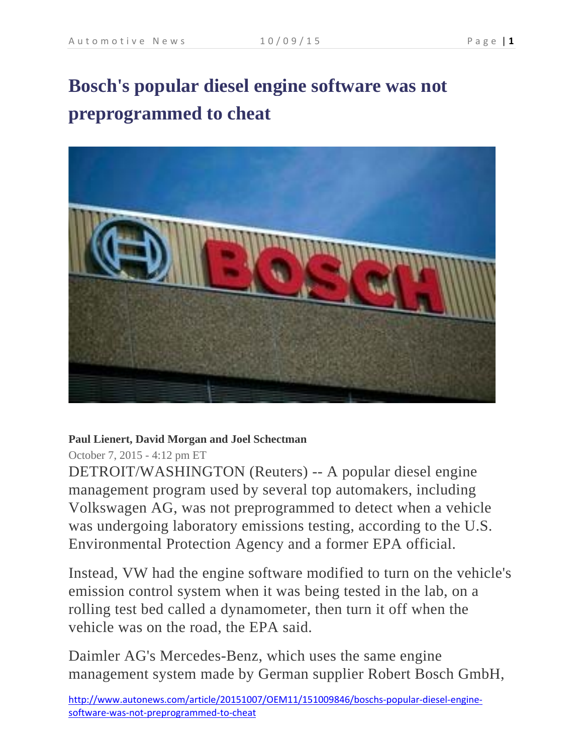# **Bosch's popular diesel engine software was not preprogrammed to cheat**



#### **Paul Lienert, David Morgan and Joel Schectman**

#### October 7, 2015 - 4:12 pm ET

DETROIT/WASHINGTON (Reuters) -- A popular diesel engine management program used by several top automakers, including Volkswagen AG, was not preprogrammed to detect when a vehicle was undergoing laboratory emissions testing, according to the U.S. Environmental Protection Agency and a former EPA official.

Instead, VW had the engine software modified to turn on the vehicle's emission control system when it was being tested in the lab, on a rolling test bed called a dynamometer, then turn it off when the vehicle was on the road, the EPA said.

Daimler AG's Mercedes-Benz, which uses the same engine management system made by German supplier Robert Bosch GmbH,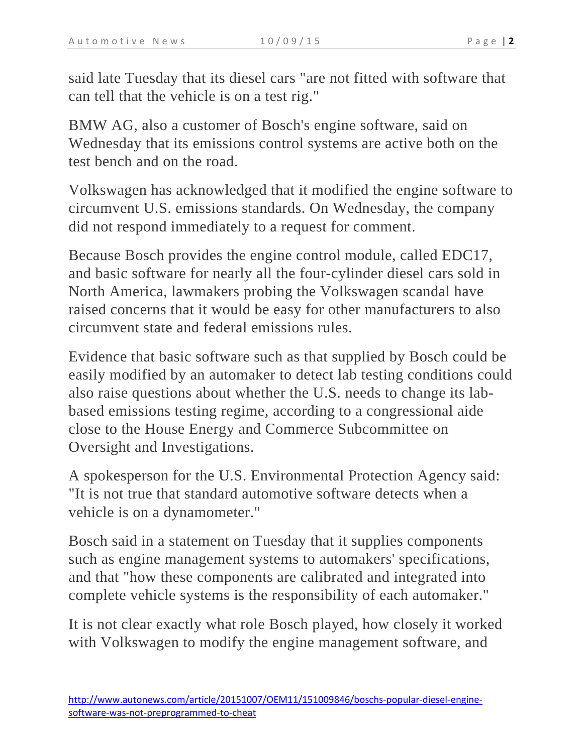said late Tuesday that its diesel cars "are not fitted with software that can tell that the vehicle is on a test rig."

BMW AG, also a customer of Bosch's engine software, said on Wednesday that its emissions control systems are active both on the test bench and on the road.

Volkswagen has acknowledged that it modified the engine software to circumvent U.S. emissions standards. On Wednesday, the company did not respond immediately to a request for comment.

Because Bosch provides the engine control module, called EDC17, and basic software for nearly all the four-cylinder diesel cars sold in North America, lawmakers probing the Volkswagen scandal have raised concerns that it would be easy for other manufacturers to also circumvent state and federal emissions rules.

Evidence that basic software such as that supplied by Bosch could be easily modified by an automaker to detect lab testing conditions could also raise questions about whether the U.S. needs to change its labbased emissions testing regime, according to a congressional aide close to the House Energy and Commerce Subcommittee on Oversight and Investigations.

A spokesperson for the U.S. Environmental Protection Agency said: "It is not true that standard automotive software detects when a vehicle is on a dynamometer."

Bosch said in a statement on Tuesday that it supplies components such as engine management systems to automakers' specifications, and that "how these components are calibrated and integrated into complete vehicle systems is the responsibility of each automaker."

It is not clear exactly what role Bosch played, how closely it worked with Volkswagen to modify the engine management software, and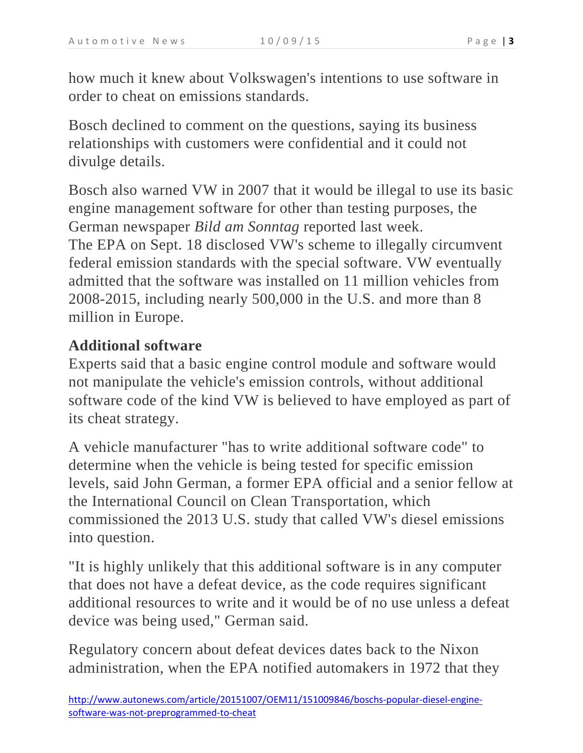how much it knew about Volkswagen's intentions to use software in order to cheat on emissions standards.

Bosch declined to comment on the questions, saying its business relationships with customers were confidential and it could not divulge details.

Bosch also warned VW in 2007 that it would be illegal to use its basic engine management software for other than testing purposes, the German newspaper *Bild am Sonntag* reported last week. The EPA on Sept. 18 disclosed VW's scheme to illegally circumvent federal emission standards with the special software. VW eventually admitted that the software was installed on 11 million vehicles from 2008-2015, including nearly 500,000 in the U.S. and more than 8 million in Europe.

## **Additional software**

Experts said that a basic engine control module and software would not manipulate the vehicle's emission controls, without additional software code of the kind VW is believed to have employed as part of its cheat strategy.

A vehicle manufacturer "has to write additional software code" to determine when the vehicle is being tested for specific emission levels, said John German, a former EPA official and a senior fellow at the International Council on Clean Transportation, which commissioned the 2013 U.S. study that called VW's diesel emissions into question.

"It is highly unlikely that this additional software is in any computer that does not have a defeat device, as the code requires significant additional resources to write and it would be of no use unless a defeat device was being used," German said.

Regulatory concern about defeat devices dates back to the Nixon administration, when the EPA notified automakers in 1972 that they